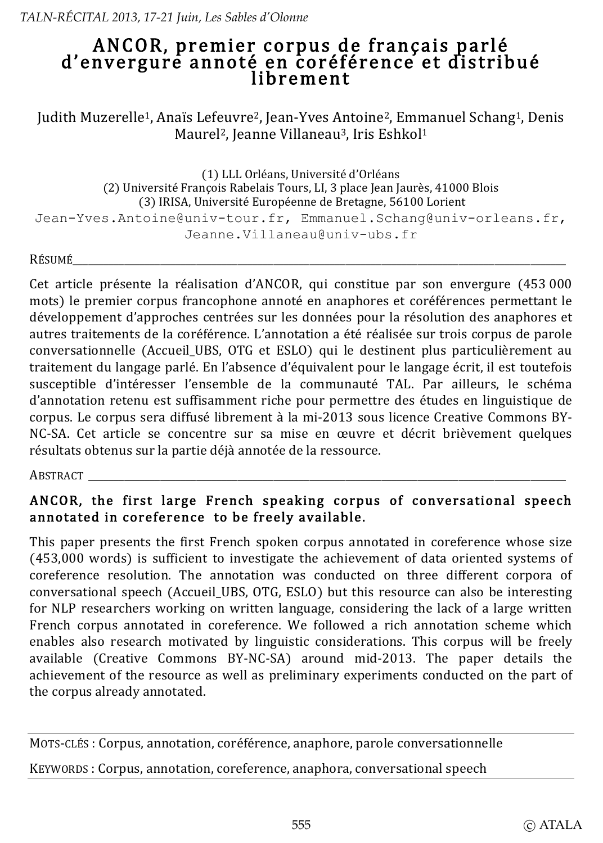# ANCOR, premier corpus de français parlé d'envergure annoté en coréférence et distribué lihrement

Judith Muzerelle<sup>1</sup>, Anaïs Lefeuvre<sup>2</sup>, Jean-Yves Antoine<sup>2</sup>, Emmanuel Schang<sup>1</sup>, Denis Maurel<sup>2</sup>, Jeanne Villaneau<sup>3</sup>, Iris Eshkol<sup>1</sup>

(1) LLL Orléans, Université d'Orléans (2) Université François Rabelais Tours, LI, 3 place Jean Jaurès, 41000 Blois (3) IRISA, Université Européenne de Bretagne, 56100 Lorient Jean-Yves.Antoine@univ-tour.fr, Emmanuel.Schang@univ-orleans.fr, Jeanne.Villaneau@univ-ubs.fr

Résumé

Cet article présente la réalisation d'ANCOR, qui constitue par son envergure (453 000 mots) le premier corpus francophone annoté en anaphores et coréférences permettant le développement d'approches centrées sur les données pour la résolution des anaphores et autres traitements de la coréférence. L'annotation a été réalisée sur trois corpus de parole conversationnelle (Accueil UBS, OTG et ESLO) qui le destinent plus particulièrement au traitement du langage parlé. En l'absence d'équivalent pour le langage écrit, il est toutefois susceptible d'intéresser l'ensemble de la communauté TAL. Par ailleurs, le schéma d'annotation retenu est suffisamment riche pour permettre des études en linguistique de corpus. Le corpus sera diffusé librement à la mi-2013 sous licence Creative Commons BY-NC-SA. Cet article se concentre sur sa mise en œuvre et décrit brièvement quelques résultats obtenus sur la partie déjà annotée de la ressource.

ABSTRACT

# ANCOR, the first large French speaking corpus of conversational speech annotated in coreference to be freely available.

This paper presents the first French spoken corpus annotated in coreference whose size (453,000 words) is sufficient to investigate the achievement of data oriented systems of coreference resolution. The annotation was conducted on three different corpora of conversational speech (Accueil UBS, OTG, ESLO) but this resource can also be interesting for NLP researchers working on written language, considering the lack of a large written French corpus annotated in coreference. We followed a rich annotation scheme which enables also research motivated by linguistic considerations. This corpus will be freely available (Creative Commons BY-NC-SA) around mid-2013. The paper details the achievement of the resource as well as preliminary experiments conducted on the part of the corpus already annotated.

MOTS-CLÉS : Corpus, annotation, coréférence, anaphore, parole conversationnelle

KEYWORDS: Corpus, annotation, coreference, anaphora, conversational speech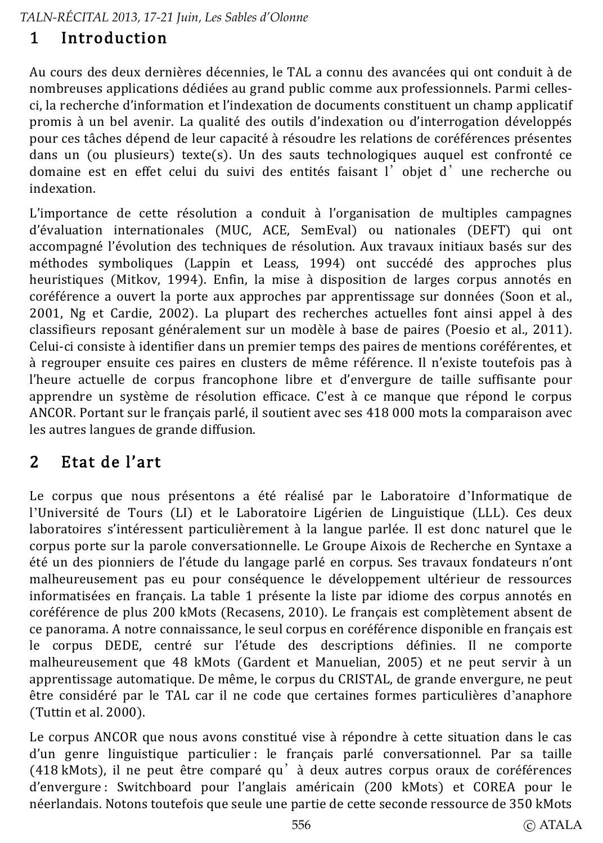## Introduction 1

Au cours des deux dernières décennies, le TAL a connu des avancées qui ont conduit à de nombreuses applications dédiées au grand public comme aux professionnels. Parmi cellesci, la recherche d'information et l'indexation de documents constituent un champ applicatif promis à un bel avenir. La qualité des outils d'indexation ou d'interrogation développés pour ces tâches dépend de leur capacité à résoudre les relations de coréférences présentes dans un (ou plusieurs) texte(s). Un des sauts technologiques auquel est confronté ce domaine est en effet celui du suivi des entités faisant l'objet d'une recherche ou indexation.

L'importance de cette résolution a conduit à l'organisation de multiples campagnes d'évaluation internationales (MUC, ACE, SemEval) ou nationales (DEFT) qui ont accompagné l'évolution des techniques de résolution. Aux travaux initiaux basés sur des méthodes symboliques (Lappin et Leass, 1994) ont succédé des approches plus heuristiques (Mitkov, 1994). Enfin, la mise à disposition de larges corpus annotés en coréférence a ouvert la porte aux approches par apprentissage sur données (Soon et al., 2001, Ng et Cardie, 2002). La plupart des recherches actuelles font ainsi appel à des classifieurs reposant généralement sur un modèle à base de paires (Poesio et al., 2011). Celui-ci consiste à identifier dans un premier temps des paires de mentions coréférentes, et à regrouper ensuite ces paires en clusters de même référence. Il n'existe toutefois pas à l'heure actuelle de corpus francophone libre et d'envergure de taille suffisante pour apprendre un système de résolution efficace. C'est à ce manque que répond le corpus ANCOR. Portant sur le français parlé, il soutient avec ses 418 000 mots la comparaison avec les autres langues de grande diffusion.

# $\overline{2}$ Etat de l'art

Le corpus que nous présentons a été réalisé par le Laboratoire d'Informatique de l'Université de Tours (LI) et le Laboratoire Ligérien de Linguistique (LLL). Ces deux laboratoires s'intéressent particulièrement à la langue parlée. Il est donc naturel que le corpus porte sur la parole conversationnelle. Le Groupe Aixois de Recherche en Syntaxe a été un des pionniers de l'étude du langage parlé en corpus. Ses travaux fondateurs n'ont malheureusement pas eu pour conséquence le développement ultérieur de ressources informatisées en français. La table 1 présente la liste par idiome des corpus annotés en coréférence de plus 200 kMots (Recasens, 2010). Le français est complètement absent de ce panorama. A notre connaissance, le seul corpus en coréférence disponible en français est le corpus DEDE, centré sur l'étude des descriptions définies. Il ne comporte malheureusement que 48 kMots (Gardent et Manuelian, 2005) et ne peut servir à un apprentissage automatique. De même, le corpus du CRISTAL, de grande envergure, ne peut être considéré par le TAL car il ne code que certaines formes particulières d'anaphore (Tuttin et al. 2000).

Le corpus ANCOR que nous avons constitué vise à répondre à cette situation dans le cas d'un genre linguistique particulier : le français parlé conversationnel. Par sa taille (418 kMots), il ne peut être comparé qu' à deux autres corpus oraux de coréférences d'envergure : Switchboard pour l'anglais américain (200 kMots) et COREA pour le néerlandais. Notons toutefois que seule une partie de cette seconde ressource de 350 kMots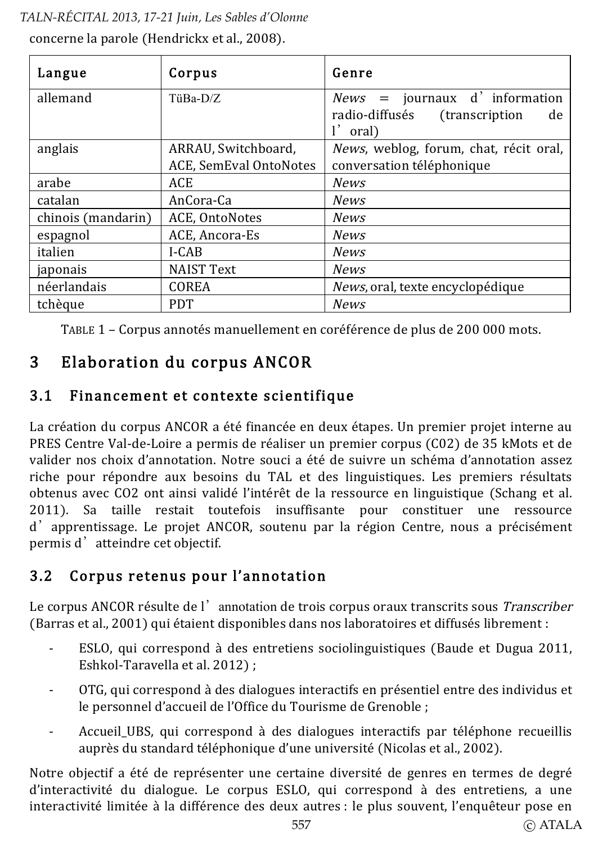concerne la parole (Hendrickx et al., 2008).

| Langue             | Corpus                                        | Genre                                                                               |  |
|--------------------|-----------------------------------------------|-------------------------------------------------------------------------------------|--|
| allemand           | TüBa-D/Z                                      | $News = journal of information$<br>radio-diffusés<br>(transcription)<br>de<br>oral) |  |
| anglais            | ARRAU, Switchboard,<br>ACE, SemEval OntoNotes | News, weblog, forum, chat, récit oral,<br>conversation téléphonique                 |  |
| arabe              | ACE                                           | <b>News</b>                                                                         |  |
| catalan            | AnCora-Ca                                     | <b>News</b>                                                                         |  |
| chinois (mandarin) | ACE, OntoNotes                                | <b>News</b>                                                                         |  |
| espagnol           | ACE, Ancora-Es                                | <b>News</b>                                                                         |  |
| italien            | I-CAB                                         | <b>News</b>                                                                         |  |
| japonais           | <b>NAIST Text</b>                             | <b>News</b>                                                                         |  |
| néerlandais        | COREA                                         | <i>News</i> , oral, texte encyclopédique                                            |  |
| tchèque            | <b>PDT</b>                                    | News                                                                                |  |

TABLE 1 - Corpus annotés manuellement en coréférence de plus de 200 000 mots.

## Elaboration du corpus ANCOR 3

#### Financement et contexte scientifique  $3.1$

La création du corpus ANCOR a été financée en deux étapes. Un premier projet interne au PRES Centre Val-de-Loire a permis de réaliser un premier corpus (C02) de 35 kMots et de valider nos choix d'annotation. Notre souci a été de suivre un schéma d'annotation assez riche pour répondre aux besoins du TAL et des linguistiques. Les premiers résultats obtenus avec CO2 ont ainsi validé l'intérêt de la ressource en linguistique (Schang et al. 2011). Sa taille restait toutefois insuffisante pour constituer une ressource d'apprentissage. Le projet ANCOR, soutenu par la région Centre, nous a précisément permis d'atteindre cet objectif.

### Corpus retenus pour l'annotation  $3.2$

Le corpus ANCOR résulte de l'annotation de trois corpus oraux transcrits sous Transcriber (Barras et al., 2001) qui étaient disponibles dans nos laboratoires et diffusés librement :

- ESLO, qui correspond à des entretiens sociolinguistiques (Baude et Dugua 2011,  $\overline{a}$ Eshkol-Taravella et al. 2012):
- OTG, qui correspond à des dialogues interactifs en présentiel entre des individus et le personnel d'accueil de l'Office du Tourisme de Grenoble :
- Accueil UBS, qui correspond à des dialogues interactifs par téléphone recueillis auprès du standard téléphonique d'une université (Nicolas et al., 2002).

Notre objectif a été de représenter une certaine diversité de genres en termes de degré d'interactivité du dialogue. Le corpus ESLO, qui correspond à des entretiens, a une interactivité limitée à la différence des deux autres : le plus souvent, l'enquêteur pose en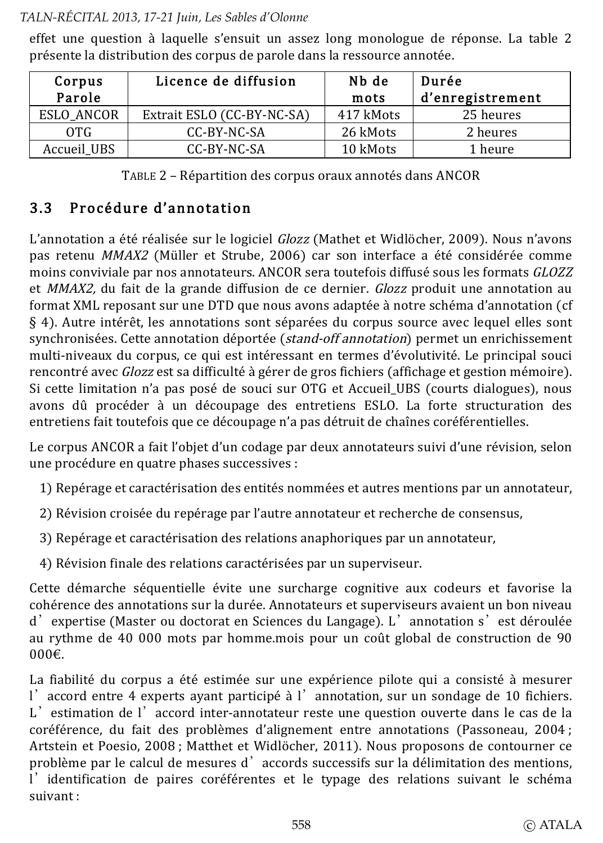effet une question à laquelle s'ensuit un assez long monologue de réponse. La table 2 présente la distribution des corpus de parole dans la ressource annotée.

| Corpus<br>Parole | Licence de diffusion       | Nb de<br>mots | Durée<br>d'enregistrement |
|------------------|----------------------------|---------------|---------------------------|
| ESLO ANCOR       | Extrait ESLO (CC-BY-NC-SA) | 417 kMots     | 25 heures                 |
| OTG              | CC-BY-NC-SA                | 26 kMots      | 2 heures                  |
| Accueil_UBS      | CC-BY-NC-SA                | 10 kMots      | 1 heure                   |

TABLE 2 - Répartition des corpus oraux annotés dans ANCOR

#### $3<sub>3</sub>$ Procédure d'annotation

L'annotation a été réalisée sur le logiciel *Glozz* (Mathet et Widlöcher, 2009). Nous n'avons pas retenu MMAX2 (Müller et Strube, 2006) car son interface a été considérée comme moins conviviale par nos annotateurs. ANCOR sera toutefois diffusé sous les formats GLOZZ et MMAX2, du fait de la grande diffusion de ce dernier. Glozz produit une annotation au format XML reposant sur une DTD que nous avons adaptée à notre schéma d'annotation (cf § 4). Autre intérêt, les annotations sont séparées du corpus source avec lequel elles sont synchronisées. Cette annotation déportée (stand-off annotation) permet un enrichissement multi-niveaux du corpus, ce qui est intéressant en termes d'évolutivité. Le principal souci rencontré avec *Glozz* est sa difficulté à gérer de gros fichiers (affichage et gestion mémoire). Si cette limitation n'a pas posé de souci sur OTG et Accueil UBS (courts dialogues), nous avons dû procéder à un découpage des entretiens ESLO. La forte structuration des entretiens fait toutefois que ce découpage n'a pas détruit de chaînes coréférentielles.

Le corpus ANCOR a fait l'objet d'un codage par deux annotateurs suivi d'une révision, selon une procédure en quatre phases successives :

- 1) Repérage et caractérisation des entités nommées et autres mentions par un annotateur.
- 2) Révision croisée du repérage par l'autre annotateur et recherche de consensus,
- 3) Repérage et caractérisation des relations anaphoriques par un annotateur.
- 4) Révision finale des relations caractérisées par un superviseur.

Cette démarche séquentielle évite une surcharge cognitive aux codeurs et favorise la cohérence des annotations sur la durée. Annotateurs et superviseurs avaient un bon niveau d'expertise (Master ou doctorat en Sciences du Langage). L'annotation s'est déroulée au rythme de 40 000 mots par homme mois pour un coût global de construction de 90  $000 \in$ 

La fiabilité du corpus a été estimée sur une expérience pilote qui a consisté à mesurer l'accord entre 4 experts avant participé à l'annotation, sur un sondage de 10 fichiers. L'estimation de l'accord inter-annotateur reste une question ouverte dans le cas de la coréférence, du fait des problèmes d'alignement entre annotations (Passoneau, 2004; Artstein et Poesio, 2008; Matthet et Widlöcher, 2011). Nous proposons de contourner ce problème par le calcul de mesures d'accords successifs sur la délimitation des mentions. l'identification de paires coréférentes et le typage des relations suivant le schéma  $s$ uivant $\cdot$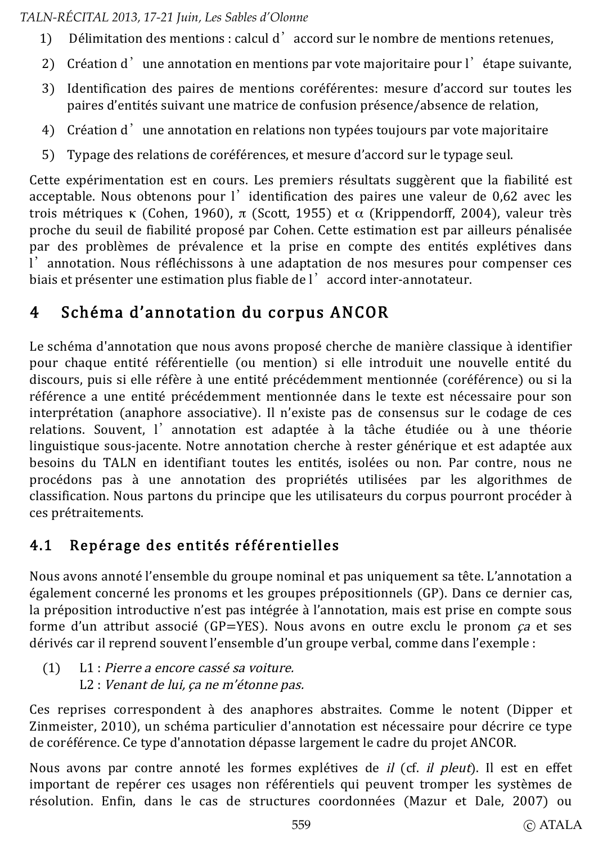- Délimitation des mentions : calcul d'accord sur le nombre de mentions retenues. 1)
- Création d'une annotation en mentions par vote majoritaire pour l'étape suivante.  $2)$
- 3) Identification des paires de mentions coréférentes: mesure d'accord sur toutes les paires d'entités suivant une matrice de confusion présence/absence de relation.
- 4) Création d'une annotation en relations non typées toujours par vote majoritaire
- 5) Typage des relations de coréférences, et mesure d'accord sur le typage seul.

Cette expérimentation est en cours. Les premiers résultats suggèrent que la fiabilité est acceptable. Nous obtenons pour l'identification des paires une valeur de 0,62 avec les trois métriques  $\kappa$  (Cohen, 1960),  $\pi$  (Scott, 1955) et  $\alpha$  (Krippendorff, 2004), valeur très proche du seuil de fiabilité proposé par Cohen. Cette estimation est par ailleurs pénalisée par des problèmes de prévalence et la prise en compte des entités explétives dans l'annotation. Nous réfléchissons à une adaptation de nos mesures pour compenser ces biais et présenter une estimation plus fiable de l'accord inter-annotateur.

# Schéma d'annotation du corpus ANCOR 4

Le schéma d'annotation que nous avons proposé cherche de manière classique à identifier pour chaque entité référentielle (ou mention) si elle introduit une nouvelle entité du discours, puis si elle réfère à une entité précédemment mentionnée (coréférence) ou si la référence a une entité précédemment mentionnée dans le texte est nécessaire pour son interprétation (anaphore associative). Il n'existe pas de consensus sur le codage de ces relations. Souvent, l'annotation est adaptée à la tâche étudiée ou à une théorie linguistique sous-jacente. Notre annotation cherche à rester générique et est adaptée aux besoins du TALN en identifiant toutes les entités, isolées ou non. Par contre, nous ne procédons pas à une annotation des propriétés utilisées par les algorithmes de classification. Nous partons du principe que les utilisateurs du corpus pourront procéder à ces prétraitements.

## Repérage des entités référentielles  $4.1$

Nous avons annoté l'ensemble du groupe nominal et pas uniquement sa tête. L'annotation a également concerné les pronoms et les groupes prépositionnels (GP). Dans ce dernier cas, la préposition introductive n'est pas intégrée à l'annotation, mais est prise en compte sous forme d'un attribut associé (GP=YES). Nous avons en outre exclu le pronom  $ca$  et ses dérivés car il reprend souvent l'ensemble d'un groupe verbal, comme dans l'exemple :

 $(1)$ L1 : Pierre a encore cassé sa voiture. L2 : Venant de lui, ça ne m'étonne pas.

Ces reprises correspondent à des anaphores abstraites. Comme le notent (Dipper et Zinmeister, 2010), un schéma particulier d'annotation est nécessaire pour décrire ce type de coréférence. Ce type d'annotation dépasse largement le cadre du projet ANCOR.

Nous avons par contre annoté les formes explétives de *il* (cf. *il pleut*). Il est en effet important de repérer ces usages non référentiels qui peuvent tromper les systèmes de résolution. Enfin, dans le cas de structures coordonnées (Mazur et Dale, 2007) ou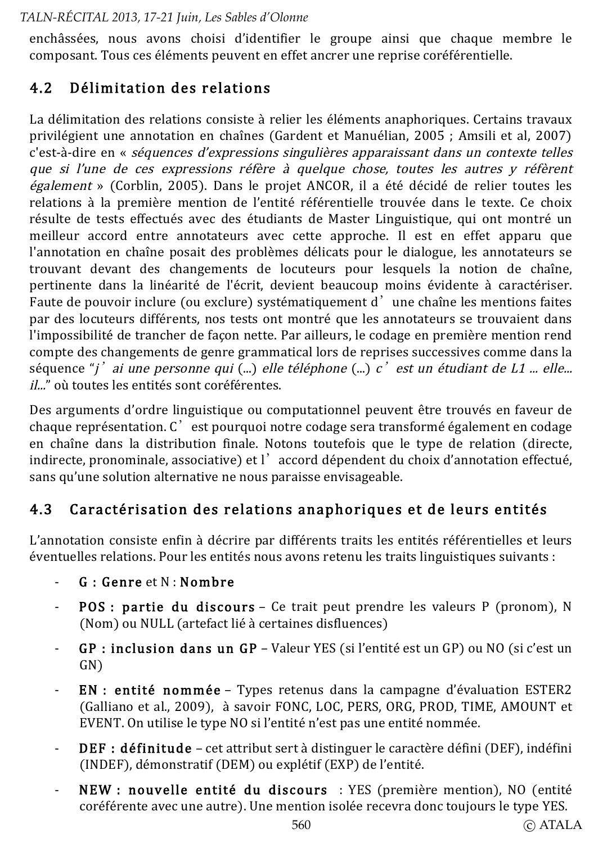enchâssées, nous avons choisi d'identifier le groupe ainsi que chaque membre le composant. Tous ces éléments peuvent en effet ancrer une reprise coréférentielle.

### Délimitation des relations  $4.2$

La délimitation des relations consiste à relier les éléments anaphoriques. Certains travaux privilégient une annotation en chaînes (Gardent et Manuélian, 2005 ; Amsili et al. 2007) c'est-à-dire en « séquences d'expressions singulières apparaissant dans un contexte telles que si l'une de ces expressions réfère à quelque chose, toutes les autres y réfèrent également » (Corblin, 2005). Dans le projet ANCOR, il a été décidé de relier toutes les relations à la première mention de l'entité référentielle trouvée dans le texte. Ce choix résulte de tests effectués avec des étudiants de Master Linguistique, qui ont montré un meilleur accord entre annotateurs avec cette approche. Il est en effet apparu que l'annotation en chaîne posait des problèmes délicats pour le dialogue, les annotateurs se trouvant devant des changements de locuteurs pour lesquels la notion de chaîne. pertinente dans la linéarité de l'écrit, devient beaucoup moins évidente à caractériser. Faute de pouvoir inclure (ou exclure) systématiquement d'une chaîne les mentions faites par des locuteurs différents, nos tests ont montré que les annotateurs se trouvaient dans l'impossibilité de trancher de façon nette. Par ailleurs, le codage en première mention rend compte des changements de genre grammatical lors de reprises successives comme dans la séquence "i' ai une personne qui  $(\ldots)$  elle téléphone  $(\ldots)$  c' est un étudiant de L1  $\ldots$  elle... il..." où toutes les entités sont coréférentes.

Des arguments d'ordre linguistique ou computationnel peuvent être trouvés en faveur de chaque représentation. C'est pourquoi notre codage sera transformé également en codage en chaîne dans la distribution finale. Notons toutefois que le type de relation (directe, indirecte, pronominale, associative) et l'accord dépendent du choix d'annotation effectué, sans qu'une solution alternative ne nous paraisse envisageable.

### $4.3$ Caractérisation des relations anaphoriques et de leurs entités

L'annotation consiste enfin à décrire par différents traits les entités référentielles et leurs éventuelles relations. Pour les entités nous avons retenu les traits linguistiques suivants :

- $G \cdot$  Genre et  $N \cdot$  Nombre
- POS : partie du discours Ce trait peut prendre les valeurs P (pronom), N (Nom) ou NULL (artefact lié à certaines disfluences)
- GP : inclusion dans un GP Valeur YES (si l'entité est un GP) ou NO (si c'est un  $GN$
- EN : entité nommée Types retenus dans la campagne d'évaluation ESTER2 (Galliano et al., 2009), à savoir FONC, LOC, PERS, ORG, PROD, TIME, AMOUNT et EVENT. On utilise le type NO si l'entité n'est pas une entité nommée.
- **DEF** : définitude cet attribut sert à distinguer le caractère défini (DEF), indéfini  $\blacksquare$ (INDEF), démonstratif (DEM) ou explétif (EXP) de l'entité.
- NEW : nouvelle entité du discours : YES (première mention), NO (entité coréférente avec une autre). Une mention isolée recevra donc toujours le type YES.

C ATALA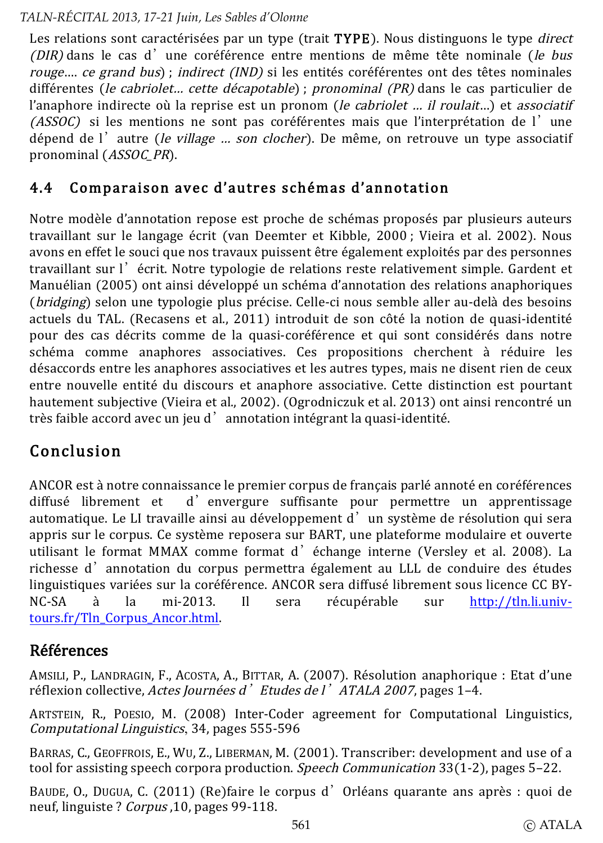Les relations sont caractérisées par un type (trait TYPE). Nous distinguons le type *direct* (DIR) dans le cas d'une coréférence entre mentions de même tête nominale (le bus rouge.... ce grand bus) ; indirect (IND) si les entités coréférentes ont des têtes nominales différentes (le cabriolet... cette décapotable) ; pronominal (PR) dans le cas particulier de l'anaphore indirecte où la reprise est un pronom (le cabriolet ... il roulait...) et associatif (ASSOC) si les mentions ne sont pas coréférentes mais que l'interprétation de l'une dépend de l'autre (le village ... son clocher). De même, on retrouve un type associatif pronominal (ASSOC\_PR).

#### Comparaison avec d'autres schémas d'annotation 4.4

Notre modèle d'annotation repose est proche de schémas proposés par plusieurs auteurs travaillant sur le langage écrit (van Deemter et Kibble, 2000; Vieira et al. 2002). Nous avons en effet le souci que nos travaux puissent être également exploités par des personnes travaillant sur l'écrit. Notre typologie de relations reste relativement simple. Gardent et Manuélian (2005) ont ainsi développé un schéma d'annotation des relations anaphoriques (*bridging*) selon une typologie plus précise. Celle-ci nous semble aller au-delà des besoins actuels du TAL. (Recasens et al., 2011) introduit de son côté la notion de quasi-identité pour des cas décrits comme de la quasi-coréférence et qui sont considérés dans notre schéma comme anaphores associatives. Ces propositions cherchent à réduire les désaccords entre les anaphores associatives et les autres types, mais ne disent rien de ceux entre nouvelle entité du discours et anaphore associative. Cette distinction est pourtant hautement subjective (Vieira et al., 2002). (Ogrodniczuk et al. 2013) ont ainsi rencontré un très faible accord avec un jeu d'annotation intégrant la quasi-identité.

# Conclusion

ANCOR est à notre connaissance le premier corpus de français parlé annoté en coréférences d'envergure suffisante pour permettre un apprentissage diffusé librement et automatique. Le LI travaille ainsi au développement d'un système de résolution qui sera appris sur le corpus. Ce système reposera sur BART, une plateforme modulaire et ouverte utilisant le format MMAX comme format d'échange interne (Versley et al. 2008). La richesse d'annotation du corpus permettra également au LLL de conduire des études linguistiques variées sur la coréférence. ANCOR sera diffusé librement sous licence CC BYhttp://tln.li.univ- $NC-SA$ la mi-2013.  $\mathbf{I}$ récupérable à sera sur tours.fr/Tln Corpus Ancor.html.

# **Références**

AMSILI, P., LANDRAGIN, F., ACOSTA, A., BITTAR, A. (2007). Résolution anaphorique : Etat d'une réflexion collective. Actes Journées d'Etudes de l'ATALA 2007, pages 1-4.

ARTSTEIN, R., POESIO, M. (2008) Inter-Coder agreement for Computational Linguistics, Computational Linguistics, 34, pages 555-596

BARRAS, C., GEOFFROIS, E., WU, Z., LIBERMAN, M. (2001). Transcriber: development and use of a tool for assisting speech corpora production. *Speech Communication*  $33(1-2)$ , pages 5-22.

BAUDE, O., DUGUA, C. (2011) (Re)faire le corpus d'Orléans quarante ans après : quoi de neuf, linguiste ? Corpus 10, pages 99-118.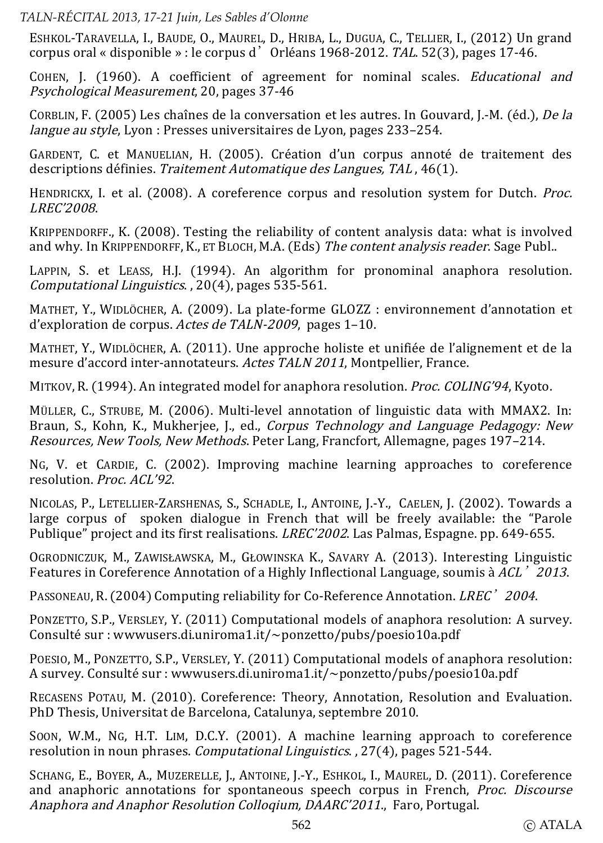ESHKOL-TARAVELLA, I., BAUDE, O., MAUREL, D., HRIBA, L., DUGUA, C., TELLIER, I., (2012) Un grand corpus oral « disponible » : le corpus d' Orléans 1968-2012. TAL 52(3), pages 17-46.

COHEN. I. (1960). A coefficient of agreement for nominal scales. *Educational and Psychological Measurement*, 20, pages 37-46

CORBLIN, F. (2005) Les chaînes de la conversation et les autres. In Gouvard, I.-M. (éd.), De la *langue au style*, Lyon : Presses universitaires de Lyon, pages 233-254.

GARDENT, C. et MANUELIAN, H. (2005). Création d'un corpus annoté de traitement des descriptions définies. Traitement Automatique des Langues. TAL. 46(1).

HENDRICKX, I. et al. (2008). A coreference corpus and resolution system for Dutch. Proc. LREC'2008.

KRIPPENDORFF., K. (2008). Testing the reliability of content analysis data: what is involved and why. In KRIPPENDORFF, K., ET BLOCH, M.A. (Eds) The content analysis reader, Sage Publ.,

LAPPIN, S. et LEASS, H.J. (1994). An algorithm for pronominal anaphora resolution. Computational Linguistics., 20(4), pages 535-561.

MATHET, Y., WIDLÖCHER, A. (2009). La plate-forme GLOZZ : environnement d'annotation et d'exploration de corpus. Actes de TALN-2009, pages 1-10.

MATHET, Y., WIDLÖCHER, A. (2011). Une approche holiste et unifiée de l'alignement et de la mesure d'accord inter-annotateurs. Actes TALN 2011, Montpellier, France.

MITKOV, R. (1994). An integrated model for anaphora resolution. Proc. COLING'94, Kyoto.

MÜLLER, C., STRUBE, M. (2006). Multi-level annotation of linguistic data with MMAX2. In: Braun, S., Kohn, K., Mukherjee, J., ed., *Corpus Technology and Language Pedagogy: New* Resources, New Tools, New Methods, Peter Lang, Francfort, Allemagne, pages 197-214.

NG, V. et CARDIE, C. (2002). Improving machine learning approaches to coreference resolution. Proc. ACL'92.

NICOLAS, P., LETELLIER-ZARSHENAS, S., SCHADLE, I., ANTOINE, I.-Y., CAELEN, I. (2002). Towards a large corpus of spoken dialogue in French that will be freely available: the "Parole" Publique" project and its first realisations. LREC'2002. Las Palmas, Espagne. pp. 649-655.

OGRODNICZUK, M., ZAWISŁAWSKA, M., GŁOWINSKA K., SAVARY A. (2013). Interesting Linguistic Features in Coreference Annotation of a Highly Inflectional Language, soumis à ACL' 2013.

PASSONEAU, R. (2004) Computing reliability for Co-Reference Annotation, *LREC*' 2004.

PONZETTO. S.P., VERSLEY, Y. (2011) Computational models of anaphora resolution: A survey. Consulté sur : wwwusers.di.uniroma1.it/~ponzetto/pubs/poesio10a.pdf

POESIO, M., PONZETTO, S.P., VERSLEY, Y. (2011) Computational models of anaphora resolution: A survey. Consulté sur : www.users.di.uniroma1.it/~ponzetto/pubs/poesio10a.pdf

RECASENS POTAU, M. (2010). Coreference: Theory, Annotation, Resolution and Evaluation. PhD Thesis, Universitat de Barcelona, Catalunya, septembre 2010.

Soon, W.M., NG, H.T. LIM, D.C.Y. (2001). A machine learning approach to coreference resolution in noun phrases. Computational Linguistics., 27(4), pages 521-544.

SCHANG, E., BOYER, A., MUZERELLE, J., ANTOINE, J.-Y., ESHKOL, I., MAUREL, D. (2011). Coreference and anaphoric annotations for spontaneous speech corpus in French. Proc. Discourse Anaphora and Anaphor Resolution Collogium, DAARC'2011. Faro, Portugal.